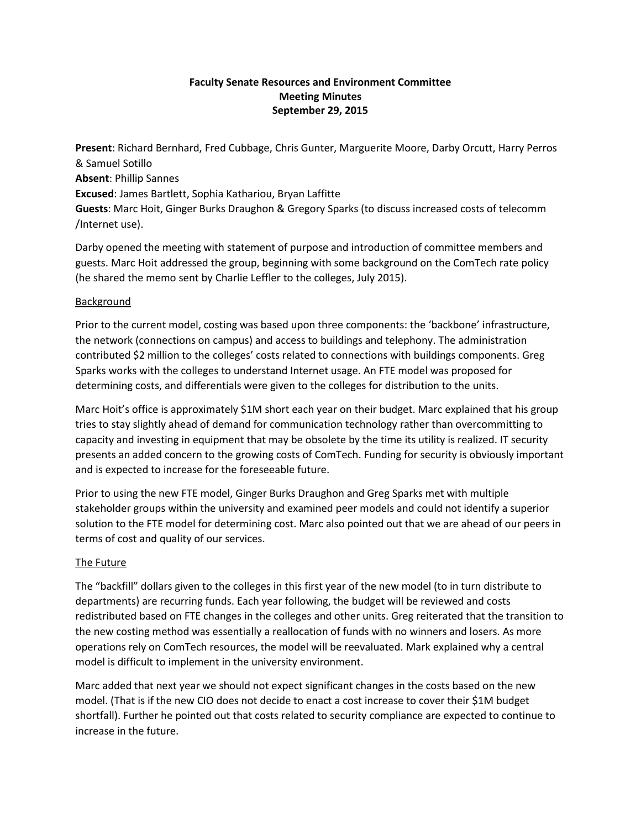## **Faculty Senate Resources and Environment Committee Meeting Minutes September 29, 2015**

**Present**: Richard Bernhard, Fred Cubbage, Chris Gunter, Marguerite Moore, Darby Orcutt, Harry Perros & Samuel Sotillo **Absent**: Phillip Sannes **Excused**: James Bartlett, Sophia Kathariou, Bryan Laffitte **Guests**: Marc Hoit, Ginger Burks Draughon & Gregory Sparks (to discuss increased costs of telecomm /Internet use).

Darby opened the meeting with statement of purpose and introduction of committee members and guests. Marc Hoit addressed the group, beginning with some background on the ComTech rate policy (he shared the memo sent by Charlie Leffler to the colleges, July 2015).

## Background

Prior to the current model, costing was based upon three components: the 'backbone' infrastructure, the network (connections on campus) and access to buildings and telephony. The administration contributed \$2 million to the colleges' costs related to connections with buildings components. Greg Sparks works with the colleges to understand Internet usage. An FTE model was proposed for determining costs, and differentials were given to the colleges for distribution to the units.

Marc Hoit's office is approximately \$1M short each year on their budget. Marc explained that his group tries to stay slightly ahead of demand for communication technology rather than overcommitting to capacity and investing in equipment that may be obsolete by the time its utility is realized. IT security presents an added concern to the growing costs of ComTech. Funding for security is obviously important and is expected to increase for the foreseeable future.

Prior to using the new FTE model, Ginger Burks Draughon and Greg Sparks met with multiple stakeholder groups within the university and examined peer models and could not identify a superior solution to the FTE model for determining cost. Marc also pointed out that we are ahead of our peers in terms of cost and quality of our services.

## The Future

The "backfill" dollars given to the colleges in this first year of the new model (to in turn distribute to departments) are recurring funds. Each year following, the budget will be reviewed and costs redistributed based on FTE changes in the colleges and other units. Greg reiterated that the transition to the new costing method was essentially a reallocation of funds with no winners and losers. As more operations rely on ComTech resources, the model will be reevaluated. Mark explained why a central model is difficult to implement in the university environment.

Marc added that next year we should not expect significant changes in the costs based on the new model. (That is if the new CIO does not decide to enact a cost increase to cover their \$1M budget shortfall). Further he pointed out that costs related to security compliance are expected to continue to increase in the future.